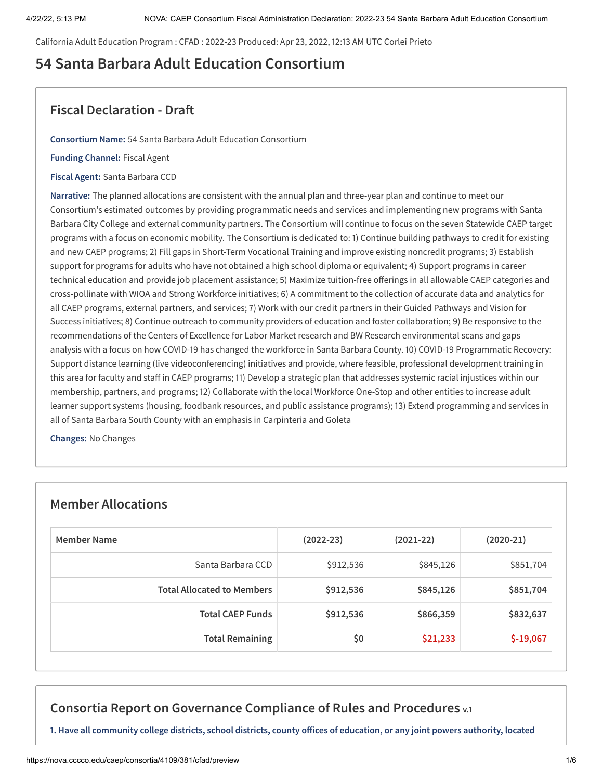California Adult Education Program : CFAD : 2022-23 Produced: Apr 23, 2022, 12:13 AM UTC Corlei Prieto

# **54 Santa Barbara Adult Education Consortium**

## **Fiscal Declaration - Draft**

**Consortium Name:** 54 Santa Barbara Adult Education Consortium

**Funding Channel:** Fiscal Agent

**Fiscal Agent:** Santa Barbara CCD

**Narrative:** The planned allocations are consistent with the annual plan and three-year plan and continue to meet our Consortium's estimated outcomes by providing programmatic needs and services and implementing new programs with Santa Barbara City College and external community partners. The Consortium will continue to focus on the seven Statewide CAEP target programs with a focus on economic mobility. The Consortium is dedicated to: 1) Continue building pathways to credit for existing and new CAEP programs; 2) Fill gaps in Short-Term Vocational Training and improve existing noncredit programs; 3) Establish support for programs for adults who have not obtained a high school diploma or equivalent; 4) Support programs in career technical education and provide job placement assistance; 5) Maximize tuition-free offerings in all allowable CAEP categories and cross-pollinate with WIOA and Strong Workforce initiatives; 6) A commitment to the collection of accurate data and analytics for all CAEP programs, external partners, and services; 7) Work with our credit partners in their Guided Pathways and Vision for Success initiatives; 8) Continue outreach to community providers of education and foster collaboration; 9) Be responsive to the recommendations of the Centers of Excellence for Labor Market research and BW Research environmental scans and gaps analysis with a focus on how COVID-19 has changed the workforce in Santa Barbara County. 10) COVID-19 Programmatic Recovery: Support distance learning (live videoconferencing) initiatives and provide, where feasible, professional development training in this area for faculty and staff in CAEP programs; 11) Develop a strategic plan that addresses systemic racial injustices within our membership, partners, and programs; 12) Collaborate with the local Workforce One-Stop and other entities to increase adult learner support systems (housing, foodbank resources, and public assistance programs); 13) Extend programming and services in all of Santa Barbara South County with an emphasis in Carpinteria and Goleta

**Changes:** No Changes

## **Member Allocations**

| Member Name                       | $(2022 - 23)$ | $(2021-22)$ | $(2020-21)$ |
|-----------------------------------|---------------|-------------|-------------|
| Santa Barbara CCD                 | \$912,536     | \$845,126   | \$851,704   |
| <b>Total Allocated to Members</b> | \$912,536     | \$845,126   | \$851,704   |
| <b>Total CAEP Funds</b>           | \$912,536     | \$866,359   | \$832,637   |
| <b>Total Remaining</b>            | \$0           | \$21,233    | $$-19,067$  |

# **Consortia Report on Governance Compliance of Rules and Procedures v.1**

1. Have all community college districts, school districts, county offices of education, or any joint powers authority, located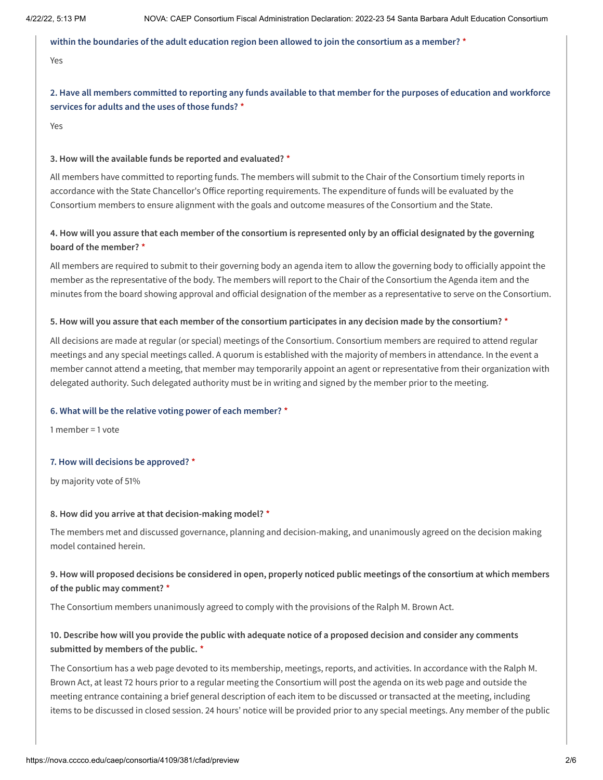#### **within the boundaries of the adult education region been allowed to join the consortium as a member? \***

### Yes

2. Have all members committed to reporting any funds available to that member for the purposes of education and workforce **services for adults and the uses of those funds? \***

Yes

#### **3. How will the available funds be reported and evaluated? \***

All members have committed to reporting funds. The members will submit to the Chair of the Consortium timely reports in accordance with the State Chancellor's Office reporting requirements. The expenditure of funds will be evaluated by the Consortium members to ensure alignment with the goals and outcome measures of the Consortium and the State.

### 4. How will you assure that each member of the consortium is represented only by an official designated by the governing **board of the member? \***

All members are required to submit to their governing body an agenda item to allow the governing body to officially appoint the member as the representative of the body. The members will report to the Chair of the Consortium the Agenda item and the minutes from the board showing approval and official designation of the member as a representative to serve on the Consortium.

### 5. How will you assure that each member of the consortium participates in any decision made by the consortium? \*

All decisions are made at regular (or special) meetings of the Consortium. Consortium members are required to attend regular meetings and any special meetings called. A quorum is established with the majority of members in attendance. In the event a member cannot attend a meeting, that member may temporarily appoint an agent or representative from their organization with delegated authority. Such delegated authority must be in writing and signed by the member prior to the meeting.

#### **6. What will be the relative voting power of each member? \***

1 member = 1 vote

#### **7. How will decisions be approved? \***

by majority vote of 51%

#### **8. How did you arrive at that decision-making model? \***

The members met and discussed governance, planning and decision-making, and unanimously agreed on the decision making model contained herein.

### 9. How will proposed decisions be considered in open, properly noticed public meetings of the consortium at which members **of the public may comment? \***

The Consortium members unanimously agreed to comply with the provisions of the Ralph M. Brown Act.

### 10. Describe how will you provide the public with adequate notice of a proposed decision and consider any comments **submitted by members of the public. \***

The Consortium has a web page devoted to its membership, meetings, reports, and activities. In accordance with the Ralph M. Brown Act, at least 72 hours prior to a regular meeting the Consortium will post the agenda on its web page and outside the meeting entrance containing a brief general description of each item to be discussed or transacted at the meeting, including items to be discussed in closed session. 24 hours' notice will be provided prior to any special meetings. Any member of the public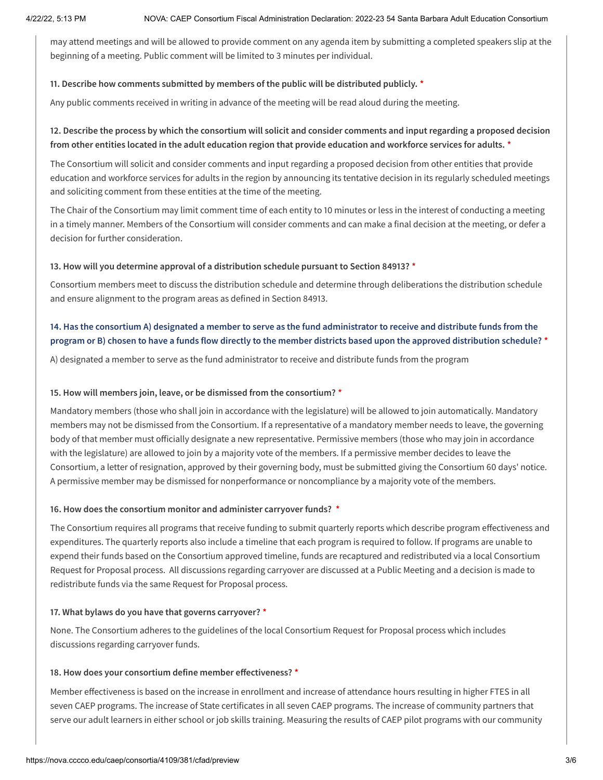may attend meetings and will be allowed to provide comment on any agenda item by submitting a completed speakers slip at the beginning of a meeting. Public comment will be limited to 3 minutes per individual.

### **11. Describe how comments submitted by members of the public will be distributed publicly. \***

Any public comments received in writing in advance of the meeting will be read aloud during the meeting.

### 12. Describe the process by which the consortium will solicit and consider comments and input regarding a proposed decision **from other entities located in the adult education region that provide education and workforce services for adults. \***

The Consortium will solicit and consider comments and input regarding a proposed decision from other entities that provide education and workforce services for adults in the region by announcing its tentative decision in its regularly scheduled meetings and soliciting comment from these entities at the time of the meeting.

The Chair of the Consortium may limit comment time of each entity to 10 minutes or less in the interest of conducting a meeting in a timely manner. Members of the Consortium will consider comments and can make a final decision at the meeting, or defer a decision for further consideration.

### **13. How will you determine approval of a distribution schedule pursuant to Section 84913? \***

Consortium members meet to discuss the distribution schedule and determine through deliberations the distribution schedule and ensure alignment to the program areas as defined in Section 84913.

### 14. Has the consortium A) designated a member to serve as the fund administrator to receive and distribute funds from the program or B) chosen to have a funds flow directly to the member districts based upon the approved distribution schedule? \*

A) designated a member to serve as the fund administrator to receive and distribute funds from the program

### **15. How will members join, leave, or be dismissed from the consortium? \***

Mandatory members (those who shall join in accordance with the legislature) will be allowed to join automatically. Mandatory members may not be dismissed from the Consortium. If a representative of a mandatory member needs to leave, the governing body of that member must officially designate a new representative. Permissive members (those who may join in accordance with the legislature) are allowed to join by a majority vote of the members. If a permissive member decides to leave the Consortium, a letter of resignation, approved by their governing body, must be submitted giving the Consortium 60 days' notice. A permissive member may be dismissed for nonperformance or noncompliance by a majority vote of the members.

### **16. How does the consortium monitor and administer carryover funds? \***

The Consortium requires all programs that receive funding to submit quarterly reports which describe program effectiveness and expenditures. The quarterly reports also include a timeline that each program is required to follow. If programs are unable to expend their funds based on the Consortium approved timeline, funds are recaptured and redistributed via a local Consortium Request for Proposal process. All discussions regarding carryover are discussed at a Public Meeting and a decision is made to redistribute funds via the same Request for Proposal process.

#### **17. What bylaws do you have that governs carryover? \***

None. The Consortium adheres to the guidelines of the local Consortium Request for Proposal process which includes discussions regarding carryover funds.

#### **18. How does your consortium define member effectiveness? \***

Member effectiveness is based on the increase in enrollment and increase of attendance hours resulting in higher FTES in all seven CAEP programs. The increase of State certificates in all seven CAEP programs. The increase of community partners that serve our adult learners in either school or job skills training. Measuring the results of CAEP pilot programs with our community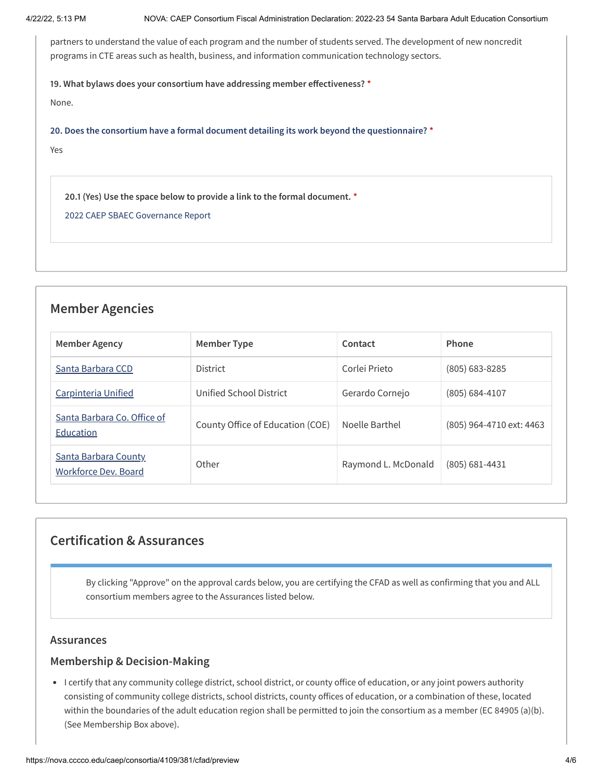partners to understand the value of each program and the number of students served. The development of new noncredit programs in CTE areas such as health, business, and information communication technology sectors.

**19. What bylaws does your consortium have addressing member effectiveness? \***

None.

**20. Does the consortium have a formal document detailing its work beyond the questionnaire? \***

Yes

**20.1 (Yes) Use the space below to provide a link to the formal document. \***

2022 CAEP SBAEC [Governance](https://www.sbcc.edu/extendedlearning/sb_adult_ed_consortium/files/2022%20CAEP%20Santa%20Barbar%20Adult%20Education%20Consortium%20Governance%20Compliance%20220422.pdf) Report

## **Member Agencies**

| Member Agency                                       | Member Type                      | Contact             | Phone                    |
|-----------------------------------------------------|----------------------------------|---------------------|--------------------------|
| Santa Barbara CCD                                   | District                         | Corlei Prieto       | $(805)$ 683-8285         |
| Carpinteria Unified                                 | Unified School District          | Gerardo Cornejo     | $(805) 684 - 4107$       |
| Santa Barbara Co. Office of<br>Education            | County Office of Education (COE) | Noelle Barthel      | (805) 964-4710 ext: 4463 |
| <b>Santa Barbara County</b><br>Workforce Dev. Board | Other                            | Raymond L. McDonald | (805) 681-4431           |

# **Certification & Assurances**

By clicking "Approve" on the approval cards below, you are certifying the CFAD as well as confirming that you and ALL consortium members agree to the Assurances listed below.

### **Assurances**

### **Membership & Decision-Making**

I certify that any community college district, school district, or county office of education, or any joint powers authority consisting of community college districts, school districts, county offices of education, or a combination of these, located within the boundaries of the adult education region shall be permitted to join the consortium as a member (EC 84905 (a)(b). (See Membership Box above).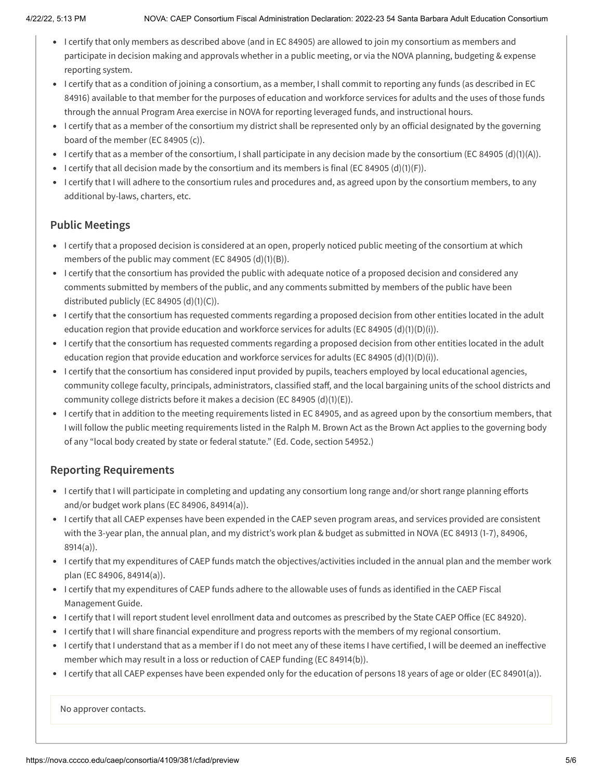- I certify that only members as described above (and in EC 84905) are allowed to join my consortium as members and participate in decision making and approvals whether in a public meeting, or via the NOVA planning, budgeting & expense reporting system.
- I certify that as a condition of joining a consortium, as a member, I shall commit to reporting any funds (as described in EC 84916) available to that member for the purposes of education and workforce services for adults and the uses of those funds through the annual Program Area exercise in NOVA for reporting leveraged funds, and instructional hours.
- I certify that as a member of the consortium my district shall be represented only by an official designated by the governing board of the member (EC 84905 (c)).
- I certify that as a member of the consortium, I shall participate in any decision made by the consortium (EC 84905 (d)(1)(A)).
- I certify that all decision made by the consortium and its members is final (EC 84905 (d)(1)(F)).
- I certify that I will adhere to the consortium rules and procedures and, as agreed upon by the consortium members, to any additional by-laws, charters, etc.

## **Public Meetings**

- I certify that a proposed decision is considered at an open, properly noticed public meeting of the consortium at which members of the public may comment (EC 84905 (d)(1)(B)).
- I certify that the consortium has provided the public with adequate notice of a proposed decision and considered any comments submitted by members of the public, and any comments submitted by members of the public have been distributed publicly (EC 84905 (d)(1)(C)).
- I certify that the consortium has requested comments regarding a proposed decision from other entities located in the adult education region that provide education and workforce services for adults (EC 84905 (d)(1)(D)(i)).
- I certify that the consortium has requested comments regarding a proposed decision from other entities located in the adult education region that provide education and workforce services for adults (EC 84905 (d)(1)(D)(i)).
- I certify that the consortium has considered input provided by pupils, teachers employed by local educational agencies, community college faculty, principals, administrators, classified staff, and the local bargaining units of the school districts and community college districts before it makes a decision (EC 84905 (d)(1)(E)).
- I certify that in addition to the meeting requirements listed in EC 84905, and as agreed upon by the consortium members, that I will follow the public meeting requirements listed in the Ralph M. Brown Act as the Brown Act applies to the governing body of any "local body created by state or federal statute." (Ed. Code, section 54952.)

## **Reporting Requirements**

- I certify that I will participate in completing and updating any consortium long range and/or short range planning efforts and/or budget work plans (EC 84906, 84914(a)).
- I certify that all CAEP expenses have been expended in the CAEP seven program areas, and services provided are consistent with the 3-year plan, the annual plan, and my district's work plan & budget as submitted in NOVA (EC 84913 (1-7), 84906, 8914(a)).
- I certify that my expenditures of CAEP funds match the objectives/activities included in the annual plan and the member work plan (EC 84906, 84914(a)).
- I certify that my expenditures of CAEP funds adhere to the allowable uses of funds as identified in the CAEP Fiscal Management Guide.
- I certify that I will report student level enrollment data and outcomes as prescribed by the State CAEP Office (EC 84920).
- I certify that I will share financial expenditure and progress reports with the members of my regional consortium.
- I certify that I understand that as a member if I do not meet any of these items I have certified, I will be deemed an ineffective member which may result in a loss or reduction of CAEP funding (EC 84914(b)).
- I certify that all CAEP expenses have been expended only for the education of persons 18 years of age or older (EC 84901(a)).

No approver contacts.